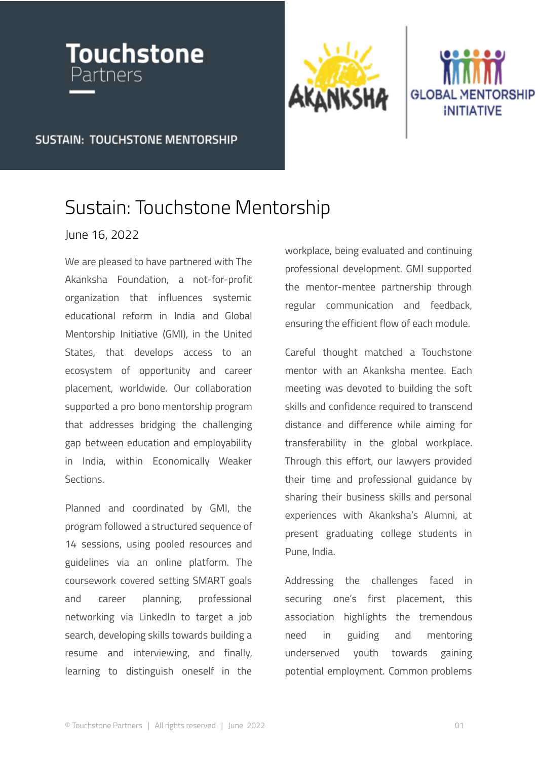





**SUSTAIN: TOUCHSTONE MENTORSHIP** 

## Sustain: Touchstone Mentorship

## June 16, 2022

We are pleased to have partnered with The Akanksha Foundation, a not-for-profit organization that influences systemic educational reform in India and Global Mentorship Initiative (GMI), in the United States, that develops access to an ecosystem of opportunity and career placement, worldwide. Our collaboration supported a pro bono mentorship program that addresses bridging the challenging gap between education and employability in India, within Economically Weaker Sections.

Planned and coordinated by GMI, the program followed a structured sequence of 14 sessions, using pooled resources and guidelines via an online platform. The coursework covered setting SMART goals and career planning, professional networking via LinkedIn to target a job search, developing skills towards building a resume and interviewing, and finally, learning to distinguish oneself in the

workplace, being evaluated and continuing professional development. GMI supported the mentor-mentee partnership through regular communication and feedback, ensuring the efficient flow of each module.

Careful thought matched a Touchstone mentor with an Akanksha mentee. Each meeting was devoted to building the soft skills and confidence required to transcend distance and difference while aiming for transferability in the global workplace. Through this effort, our lawyers provided their time and professional guidance by sharing their business skills and personal experiences with Akanksha's Alumni, at present graduating college students in Pune, India.

Addressing the challenges faced in securing one's first placement, this association highlights the tremendous need in guiding and mentoring underserved youth towards gaining potential employment. Common problems